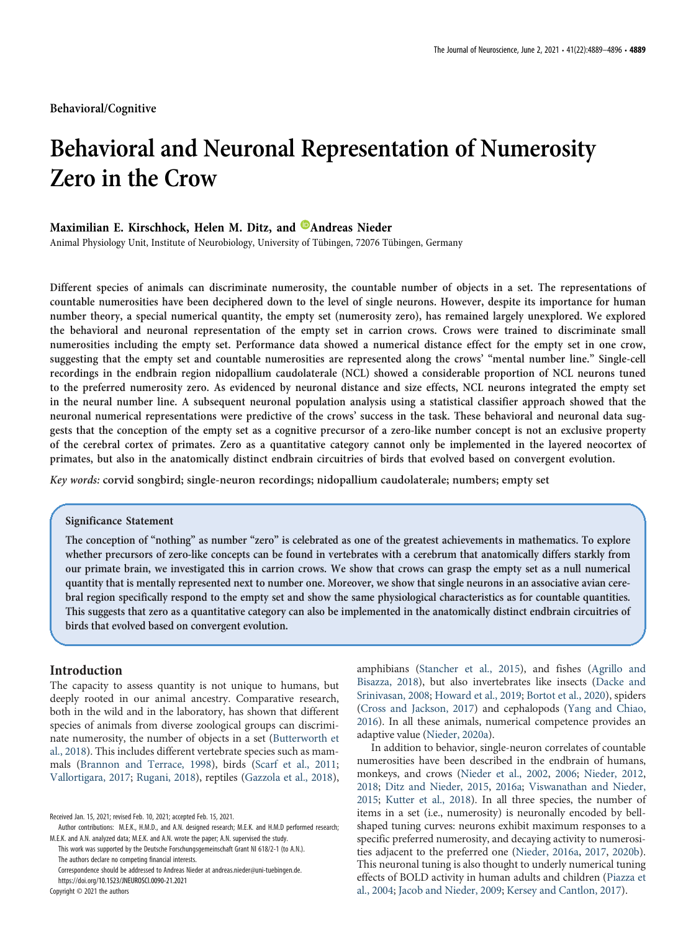Behavioral/Cognitive

# Behavioral and Neuronal Representation of Numerosity Zero in the Crow

# Maximilian E. Kirschhock, Helen M. Ditz, and <sup>@</sup>Andreas Nieder

Animal Physiology Unit, Institute of Neurobiology, University of Tübingen, 72076 Tübingen, Germany

Different species of animals can discriminate numerosity, the countable number of objects in a set. The representations of countable numerosities have been deciphered down to the level of single neurons. However, despite its importance for human number theory, a special numerical quantity, the empty set (numerosity zero), has remained largely unexplored. We explored the behavioral and neuronal representation of the empty set in carrion crows. Crows were trained to discriminate small numerosities including the empty set. Performance data showed a numerical distance effect for the empty set in one crow, suggesting that the empty set and countable numerosities are represented along the crows' "mental number line." Single-cell recordings in the endbrain region nidopallium caudolaterale (NCL) showed a considerable proportion of NCL neurons tuned to the preferred numerosity zero. As evidenced by neuronal distance and size effects, NCL neurons integrated the empty set in the neural number line. A subsequent neuronal population analysis using a statistical classifier approach showed that the neuronal numerical representations were predictive of the crows' success in the task. These behavioral and neuronal data suggests that the conception of the empty set as a cognitive precursor of a zero-like number concept is not an exclusive property of the cerebral cortex of primates. Zero as a quantitative category cannot only be implemented in the layered neocortex of primates, but also in the anatomically distinct endbrain circuitries of birds that evolved based on convergent evolution.

Key words: corvid songbird; single-neuron recordings; nidopallium caudolaterale; numbers; empty set

# Significance Statement

The conception of "nothing" as number "zero" is celebrated as one of the greatest achievements in mathematics. To explore whether precursors of zero-like concepts can be found in vertebrates with a cerebrum that anatomically differs starkly from our primate brain, we investigated this in carrion crows. We show that crows can grasp the empty set as a null numerical quantity that is mentally represented next to number one. Moreover, we show that single neurons in an associative avian cerebral region specifically respond to the empty set and show the same physiological characteristics as for countable quantities. This suggests that zero as a quantitative category can also be implemented in the anatomically distinct endbrain circuitries of birds that evolved based on convergent evolution.

# Introduction

The capacity to assess quantity is not unique to humans, but deeply rooted in our animal ancestry. Comparative research, both in the wild and in the laboratory, has shown that different species of animals from diverse zoological groups can discriminate numerosity, the number of objects in a set (Butterworth et al., 2018). This includes different vertebrate species such as mammals (Brannon and Terrace, 1998), birds (Scarf et al., 2011; Vallortigara, 2017; Rugani, 2018), reptiles (Gazzola et al., 2018),

amphibians (Stancher et al., 2015), and fishes (Agrillo and Bisazza, 2018), but also invertebrates like insects (Dacke and Srinivasan, 2008; Howard et al., 2019; Bortot et al., 2020), spiders (Cross and Jackson, 2017) and cephalopods (Yang and Chiao, 2016). In all these animals, numerical competence provides an adaptive value (Nieder, 2020a).

In addition to behavior, single-neuron correlates of countable numerosities have been described in the endbrain of humans, monkeys, and crows (Nieder et al., 2002, 2006; Nieder, 2012, 2018; Ditz and Nieder, 2015, 2016a; Viswanathan and Nieder, 2015; Kutter et al., 2018). In all three species, the number of items in a set (i.e., numerosity) is neuronally encoded by bellshaped tuning curves: neurons exhibit maximum responses to a specific preferred numerosity, and decaying activity to numerosities adjacent to the preferred one (Nieder, 2016a, 2017, 2020b). This neuronal tuning is also thought to underly numerical tuning effects of BOLD activity in human adults and children (Piazza et al., 2004; Jacob and Nieder, 2009; Kersey and Cantlon, 2017).

Received Jan. 15, 2021; revised Feb. 10, 2021; accepted Feb. 15, 2021.

Author contributions: M.E.K., H.M.D., and A.N. designed research; M.E.K. and H.M.D performed research; M.E.K. and A.N. analyzed data; M.E.K. and A.N. wrote the paper; A.N. supervised the study.

This work was supported by the Deutsche Forschungsgemeinschaft Grant NI 618/2-1 (to A.N.). The authors declare no competing financial interests.

Correspondence should be addressed to Andreas Nieder at andreas.nieder@uni-tuebingen.de. https://doi.org/10.1523/JNEUROSCI.0090-21.2021

Copyright © 2021 the authors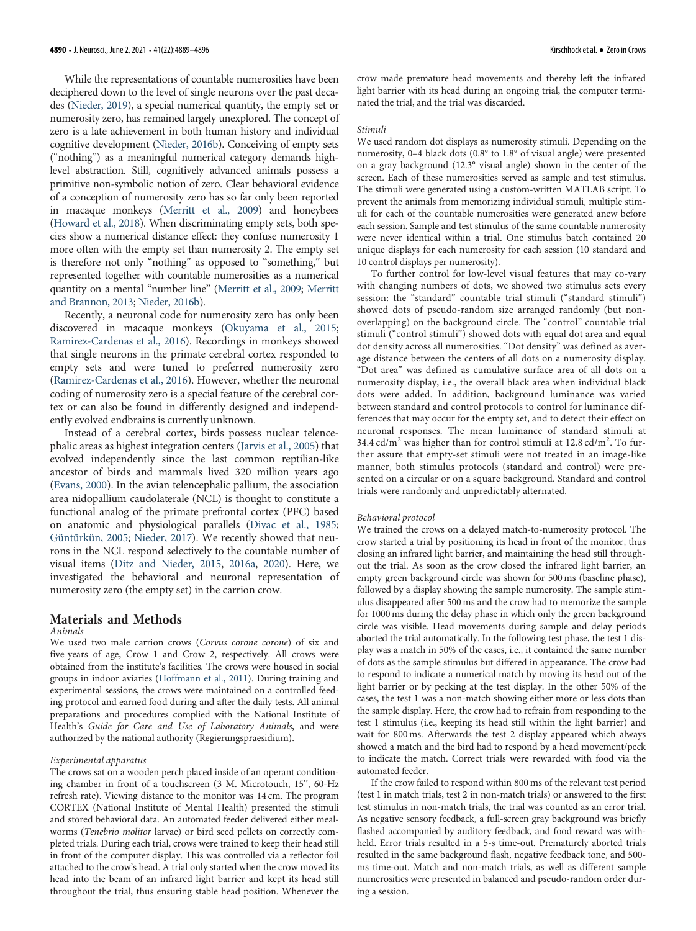While the representations of countable numerosities have been deciphered down to the level of single neurons over the past decades (Nieder, 2019), a special numerical quantity, the empty set or numerosity zero, has remained largely unexplored. The concept of zero is a late achievement in both human history and individual cognitive development (Nieder, 2016b). Conceiving of empty sets ("nothing") as a meaningful numerical category demands highlevel abstraction. Still, cognitively advanced animals possess a primitive non-symbolic notion of zero. Clear behavioral evidence of a conception of numerosity zero has so far only been reported in macaque monkeys (Merritt et al., 2009) and honeybees (Howard et al., 2018). When discriminating empty sets, both species show a numerical distance effect: they confuse numerosity 1 more often with the empty set than numerosity 2. The empty set is therefore not only "nothing" as opposed to "something," but represented together with countable numerosities as a numerical quantity on a mental "number line" (Merritt et al., 2009; Merritt and Brannon, 2013; Nieder, 2016b).

Recently, a neuronal code for numerosity zero has only been discovered in macaque monkeys (Okuyama et al., 2015; Ramirez-Cardenas et al., 2016). Recordings in monkeys showed that single neurons in the primate cerebral cortex responded to empty sets and were tuned to preferred numerosity zero (Ramirez-Cardenas et al., 2016). However, whether the neuronal coding of numerosity zero is a special feature of the cerebral cortex or can also be found in differently designed and independently evolved endbrains is currently unknown.

Instead of a cerebral cortex, birds possess nuclear telencephalic areas as highest integration centers (Jarvis et al., 2005) that evolved independently since the last common reptilian-like ancestor of birds and mammals lived 320 million years ago (Evans, 2000). In the avian telencephalic pallium, the association area nidopallium caudolaterale (NCL) is thought to constitute a functional analog of the primate prefrontal cortex (PFC) based on anatomic and physiological parallels (Divac et al., 1985; Güntürkün, 2005; Nieder, 2017). We recently showed that neurons in the NCL respond selectively to the countable number of visual items (Ditz and Nieder, 2015, 2016a, 2020). Here, we investigated the behavioral and neuronal representation of numerosity zero (the empty set) in the carrion crow.

#### Materials and Methods Animals

We used two male carrion crows (Corvus corone corone) of six and five years of age, Crow 1 and Crow 2, respectively. All crows were obtained from the institute's facilities. The crows were housed in social groups in indoor aviaries (Hoffmann et al., 2011). During training and experimental sessions, the crows were maintained on a controlled feeding protocol and earned food during and after the daily tests. All animal preparations and procedures complied with the National Institute of Health's Guide for Care and Use of Laboratory Animals, and were authorized by the national authority (Regierungspraesidium).

#### Experimental apparatus

The crows sat on a wooden perch placed inside of an operant conditioning chamber in front of a touchscreen (3 M. Microtouch, 15'', 60-Hz refresh rate). Viewing distance to the monitor was 14 cm. The program CORTEX (National Institute of Mental Health) presented the stimuli and stored behavioral data. An automated feeder delivered either mealworms (Tenebrio molitor larvae) or bird seed pellets on correctly completed trials. During each trial, crows were trained to keep their head still in front of the computer display. This was controlled via a reflector foil attached to the crow's head. A trial only started when the crow moved its head into the beam of an infrared light barrier and kept its head still throughout the trial, thus ensuring stable head position. Whenever the

crow made premature head movements and thereby left the infrared light barrier with its head during an ongoing trial, the computer terminated the trial, and the trial was discarded.

#### Stimuli

We used random dot displays as numerosity stimuli. Depending on the numerosity, 0–4 black dots (0.8° to 1.8° of visual angle) were presented on a gray background (12.3° visual angle) shown in the center of the screen. Each of these numerosities served as sample and test stimulus. The stimuli were generated using a custom-written MATLAB script. To prevent the animals from memorizing individual stimuli, multiple stimuli for each of the countable numerosities were generated anew before each session. Sample and test stimulus of the same countable numerosity were never identical within a trial. One stimulus batch contained 20 unique displays for each numerosity for each session (10 standard and 10 control displays per numerosity).

To further control for low-level visual features that may co-vary with changing numbers of dots, we showed two stimulus sets every session: the "standard" countable trial stimuli ("standard stimuli") showed dots of pseudo-random size arranged randomly (but nonoverlapping) on the background circle. The "control" countable trial stimuli ("control stimuli") showed dots with equal dot area and equal dot density across all numerosities. "Dot density" was defined as average distance between the centers of all dots on a numerosity display. "Dot area" was defined as cumulative surface area of all dots on a numerosity display, i.e., the overall black area when individual black dots were added. In addition, background luminance was varied between standard and control protocols to control for luminance differences that may occur for the empty set, and to detect their effect on neuronal responses. The mean luminance of standard stimuli at 34.4 cd/m<sup>2</sup> was higher than for control stimuli at  $12.8$  cd/m<sup>2</sup>. To further assure that empty-set stimuli were not treated in an image-like manner, both stimulus protocols (standard and control) were presented on a circular or on a square background. Standard and control trials were randomly and unpredictably alternated.

#### Behavioral protocol

We trained the crows on a delayed match-to-numerosity protocol. The crow started a trial by positioning its head in front of the monitor, thus closing an infrared light barrier, and maintaining the head still throughout the trial. As soon as the crow closed the infrared light barrier, an empty green background circle was shown for 500 ms (baseline phase), followed by a display showing the sample numerosity. The sample stimulus disappeared after 500 ms and the crow had to memorize the sample for 1000 ms during the delay phase in which only the green background circle was visible. Head movements during sample and delay periods aborted the trial automatically. In the following test phase, the test 1 display was a match in 50% of the cases, i.e., it contained the same number of dots as the sample stimulus but differed in appearance. The crow had to respond to indicate a numerical match by moving its head out of the light barrier or by pecking at the test display. In the other 50% of the cases, the test 1 was a non-match showing either more or less dots than the sample display. Here, the crow had to refrain from responding to the test 1 stimulus (i.e., keeping its head still within the light barrier) and wait for 800 ms. Afterwards the test 2 display appeared which always showed a match and the bird had to respond by a head movement/peck to indicate the match. Correct trials were rewarded with food via the automated feeder.

If the crow failed to respond within 800 ms of the relevant test period (test 1 in match trials, test 2 in non-match trials) or answered to the first test stimulus in non-match trials, the trial was counted as an error trial. As negative sensory feedback, a full-screen gray background was briefly flashed accompanied by auditory feedback, and food reward was withheld. Error trials resulted in a 5-s time-out. Prematurely aborted trials resulted in the same background flash, negative feedback tone, and 500 ms time-out. Match and non-match trials, as well as different sample numerosities were presented in balanced and pseudo-random order during a session.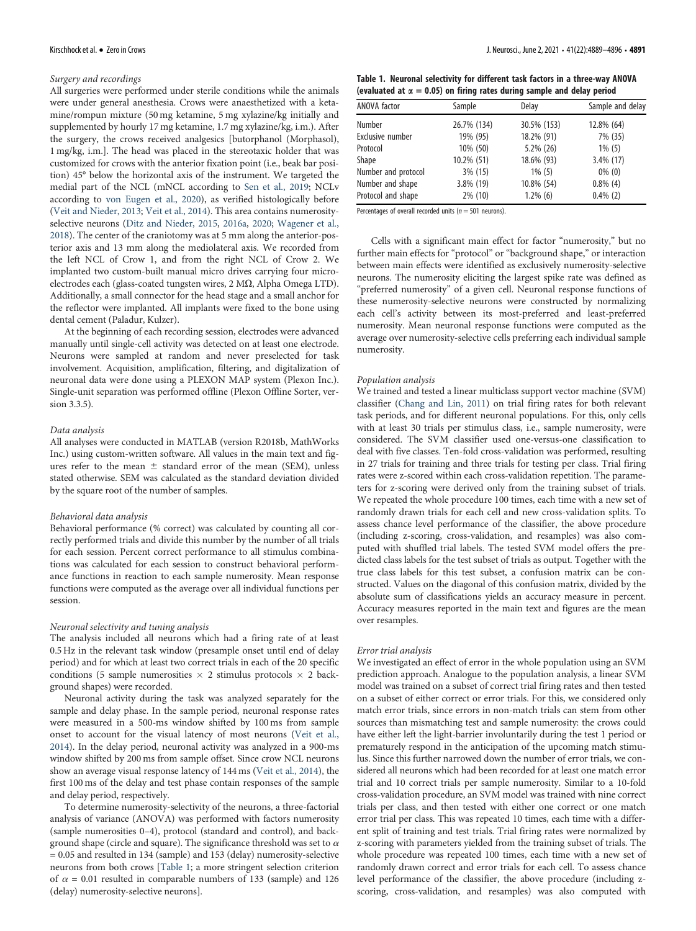#### Surgery and recordings

All surgeries were performed under sterile conditions while the animals were under general anesthesia. Crows were anaesthetized with a ketamine/rompun mixture (50 mg ketamine, 5 mg xylazine/kg initially and supplemented by hourly 17 mg ketamine, 1.7 mg xylazine/kg, i.m.). After the surgery, the crows received analgesics [butorphanol (Morphasol), 1 mg/kg, i.m.]. The head was placed in the stereotaxic holder that was customized for crows with the anterior fixation point (i.e., beak bar position) 45° below the horizontal axis of the instrument. We targeted the medial part of the NCL (mNCL according to Sen et al., 2019; NCLv according to von Eugen et al., 2020), as verified histologically before (Veit and Nieder, 2013; Veit et al., 2014). This area contains numerosityselective neurons (Ditz and Nieder, 2015, 2016a, 2020; Wagener et al., 2018). The center of the craniotomy was at 5 mm along the anterior-posterior axis and 13 mm along the mediolateral axis. We recorded from the left NCL of Crow 1, and from the right NCL of Crow 2. We implanted two custom-built manual micro drives carrying four microelectrodes each (glass-coated tungsten wires,  $2 \text{ M}\Omega$ , Alpha Omega LTD). Additionally, a small connector for the head stage and a small anchor for the reflector were implanted. All implants were fixed to the bone using dental cement (Paladur, Kulzer).

At the beginning of each recording session, electrodes were advanced manually until single-cell activity was detected on at least one electrode. Neurons were sampled at random and never preselected for task involvement. Acquisition, amplification, filtering, and digitalization of neuronal data were done using a PLEXON MAP system (Plexon Inc.). Single-unit separation was performed offline (Plexon Offline Sorter, version 3.3.5).

#### Data analysis

All analyses were conducted in MATLAB (version R2018b, MathWorks Inc.) using custom-written software. All values in the main text and figures refer to the mean  $\pm$  standard error of the mean (SEM), unless stated otherwise. SEM was calculated as the standard deviation divided by the square root of the number of samples.

#### Behavioral data analysis

Behavioral performance (% correct) was calculated by counting all correctly performed trials and divide this number by the number of all trials for each session. Percent correct performance to all stimulus combinations was calculated for each session to construct behavioral performance functions in reaction to each sample numerosity. Mean response functions were computed as the average over all individual functions per session.

#### Neuronal selectivity and tuning analysis

The analysis included all neurons which had a firing rate of at least 0.5 Hz in the relevant task window (presample onset until end of delay period) and for which at least two correct trials in each of the 20 specific conditions (5 sample numerosities  $\times$  2 stimulus protocols  $\times$  2 background shapes) were recorded.

Neuronal activity during the task was analyzed separately for the sample and delay phase. In the sample period, neuronal response rates were measured in a 500-ms window shifted by 100 ms from sample onset to account for the visual latency of most neurons (Veit et al., 2014). In the delay period, neuronal activity was analyzed in a 900-ms window shifted by 200 ms from sample offset. Since crow NCL neurons show an average visual response latency of 144 ms (Veit et al., 2014), the first 100 ms of the delay and test phase contain responses of the sample and delay period, respectively.

To determine numerosity-selectivity of the neurons, a three-factorial analysis of variance (ANOVA) was performed with factors numerosity (sample numerosities 0–4), protocol (standard and control), and background shape (circle and square). The significance threshold was set to  $\alpha$ = 0.05 and resulted in 134 (sample) and 153 (delay) numerosity-selective neurons from both crows [Table 1; a more stringent selection criterion of  $\alpha$  = 0.01 resulted in comparable numbers of 133 (sample) and 126 (delay) numerosity-selective neurons].

| Table 1. Neuronal selectivity for different task factors in a three-way ANOVA  |
|--------------------------------------------------------------------------------|
| (evaluated at $\alpha = 0.05$ ) on firing rates during sample and delay period |

| ANOVA factor        | Sample      | Delay       | Sample and delay |
|---------------------|-------------|-------------|------------------|
| Number              | 26.7% (134) | 30.5% (153) | 12.8% (64)       |
| Exclusive number    | 19% (95)    | 18.2% (91)  | 7% (35)          |
| Protocol            | 10% (50)    | 5.2% (26)   | $1\%$ (5)        |
| Shape               | 10.2% (51)  | 18.6% (93)  | $3.4\%$ (17)     |
| Number and protocol | 3% (15)     | $1\%$ (5)   | $0\%$ (0)        |
| Number and shape    | 3.8% (19)   | 10.8% (54)  | $0.8\%$ (4)      |
| Protocol and shape  | 2% (10)     | $1.2\%$ (6) | $0.4\%$ (2)      |

Percentages of overall recorded units ( $n = 501$  neurons).

Cells with a significant main effect for factor "numerosity," but no further main effects for "protocol" or "background shape," or interaction between main effects were identified as exclusively numerosity-selective neurons. The numerosity eliciting the largest spike rate was defined as "preferred numerosity" of a given cell. Neuronal response functions of these numerosity-selective neurons were constructed by normalizing each cell's activity between its most-preferred and least-preferred numerosity. Mean neuronal response functions were computed as the average over numerosity-selective cells preferring each individual sample numerosity.

#### Population analysis

We trained and tested a linear multiclass support vector machine (SVM) classifier (Chang and Lin, 2011) on trial firing rates for both relevant task periods, and for different neuronal populations. For this, only cells with at least 30 trials per stimulus class, i.e., sample numerosity, were considered. The SVM classifier used one-versus-one classification to deal with five classes. Ten-fold cross-validation was performed, resulting in 27 trials for training and three trials for testing per class. Trial firing rates were z-scored within each cross-validation repetition. The parameters for z-scoring were derived only from the training subset of trials. We repeated the whole procedure 100 times, each time with a new set of randomly drawn trials for each cell and new cross-validation splits. To assess chance level performance of the classifier, the above procedure (including z-scoring, cross-validation, and resamples) was also computed with shuffled trial labels. The tested SVM model offers the predicted class labels for the test subset of trials as output. Together with the true class labels for this test subset, a confusion matrix can be constructed. Values on the diagonal of this confusion matrix, divided by the absolute sum of classifications yields an accuracy measure in percent. Accuracy measures reported in the main text and figures are the mean over resamples.

#### Error trial analysis

We investigated an effect of error in the whole population using an SVM prediction approach. Analogue to the population analysis, a linear SVM model was trained on a subset of correct trial firing rates and then tested on a subset of either correct or error trials. For this, we considered only match error trials, since errors in non-match trials can stem from other sources than mismatching test and sample numerosity: the crows could have either left the light-barrier involuntarily during the test 1 period or prematurely respond in the anticipation of the upcoming match stimulus. Since this further narrowed down the number of error trials, we considered all neurons which had been recorded for at least one match error trial and 10 correct trials per sample numerosity. Similar to a 10-fold cross-validation procedure, an SVM model was trained with nine correct trials per class, and then tested with either one correct or one match error trial per class. This was repeated 10 times, each time with a different split of training and test trials. Trial firing rates were normalized by z-scoring with parameters yielded from the training subset of trials. The whole procedure was repeated 100 times, each time with a new set of randomly drawn correct and error trials for each cell. To assess chance level performance of the classifier, the above procedure (including zscoring, cross-validation, and resamples) was also computed with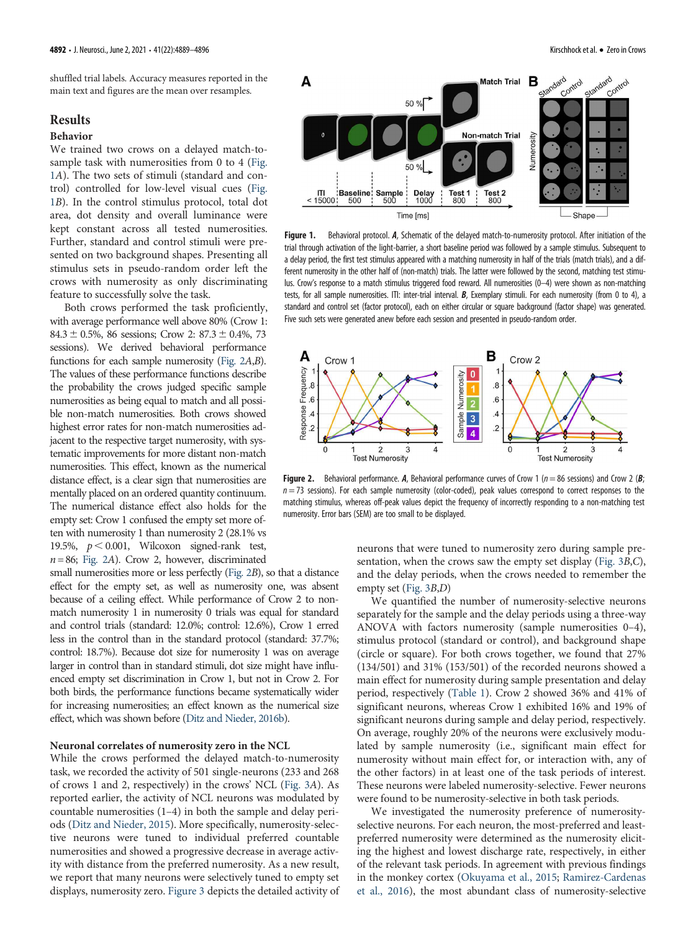# Results

#### Behavior

We trained two crows on a delayed match-tosample task with numerosities from 0 to 4 (Fig. 1A). The two sets of stimuli (standard and control) controlled for low-level visual cues (Fig. 1B). In the control stimulus protocol, total dot area, dot density and overall luminance were kept constant across all tested numerosities. Further, standard and control stimuli were presented on two background shapes. Presenting all stimulus sets in pseudo-random order left the crows with numerosity as only discriminating feature to successfully solve the task.

Both crows performed the task proficiently, with average performance well above 80% (Crow 1: 84.3  $\pm$  0.5%, 86 sessions; Crow 2: 87.3  $\pm$  0.4%, 73 sessions). We derived behavioral performance functions for each sample numerosity (Fig. 2A,B). The values of these performance functions describe the probability the crows judged specific sample numerosities as being equal to match and all possible non-match numerosities. Both crows showed highest error rates for non-match numerosities adjacent to the respective target numerosity, with systematic improvements for more distant non-match numerosities. This effect, known as the numerical distance effect, is a clear sign that numerosities are mentally placed on an ordered quantity continuum. The numerical distance effect also holds for the empty set: Crow 1 confused the empty set more often with numerosity 1 than numerosity 2 (28.1% vs 19.5%,  $p < 0.001$ , Wilcoxon signed-rank test,  $n= 86$ ; Fig. 2A). Crow 2, however, discriminated

small numerosities more or less perfectly (Fig. 2B), so that a distance effect for the empty set, as well as numerosity one, was absent because of a ceiling effect. While performance of Crow 2 to nonmatch numerosity 1 in numerosity 0 trials was equal for standard and control trials (standard: 12.0%; control: 12.6%), Crow 1 erred less in the control than in the standard protocol (standard: 37.7%; control: 18.7%). Because dot size for numerosity 1 was on average larger in control than in standard stimuli, dot size might have influenced empty set discrimination in Crow 1, but not in Crow 2. For both birds, the performance functions became systematically wider for increasing numerosities; an effect known as the numerical size effect, which was shown before (Ditz and Nieder, 2016b).

# Neuronal correlates of numerosity zero in the NCL

While the crows performed the delayed match-to-numerosity task, we recorded the activity of 501 single-neurons (233 and 268 of crows 1 and 2, respectively) in the crows' NCL (Fig. 3A). As reported earlier, the activity of NCL neurons was modulated by countable numerosities (1–4) in both the sample and delay periods (Ditz and Nieder, 2015). More specifically, numerosity-selective neurons were tuned to individual preferred countable numerosities and showed a progressive decrease in average activity with distance from the preferred numerosity. As a new result, we report that many neurons were selectively tuned to empty set displays, numerosity zero. Figure 3 depicts the detailed activity of



Figure 1. Behavioral protocol. A, Schematic of the delayed match-to-numerosity protocol. After initiation of the trial through activation of the light-barrier, a short baseline period was followed by a sample stimulus. Subsequent to a delay period, the first test stimulus appeared with a matching numerosity in half of the trials (match trials), and a different numerosity in the other half of (non-match) trials. The latter were followed by the second, matching test stimulus. Crow's response to a match stimulus triggered food reward. All numerosities (0–4) were shown as non-matching tests, for all sample numerosities. ITI: inter-trial interval. B, Exemplary stimuli. For each numerosity (from 0 to 4), a standard and control set (factor protocol), each on either circular or square background (factor shape) was generated. Five such sets were generated anew before each session and presented in pseudo-random order.



Figure 2. Behavioral performance. A, Behavioral performance curves of Crow 1 ( $n = 86$  sessions) and Crow 2 (B;  $n = 73$  sessions). For each sample numerosity (color-coded), peak values correspond to correct responses to the matching stimulus, whereas off-peak values depict the frequency of incorrectly responding to a non-matching test numerosity. Error bars (SEM) are too small to be displayed.

neurons that were tuned to numerosity zero during sample presentation, when the crows saw the empty set display (Fig. 3B,C), and the delay periods, when the crows needed to remember the empty set (Fig. 3B,D)

We quantified the number of numerosity-selective neurons separately for the sample and the delay periods using a three-way ANOVA with factors numerosity (sample numerosities 0–4), stimulus protocol (standard or control), and background shape (circle or square). For both crows together, we found that 27% (134/501) and 31% (153/501) of the recorded neurons showed a main effect for numerosity during sample presentation and delay period, respectively (Table 1). Crow 2 showed 36% and 41% of significant neurons, whereas Crow 1 exhibited 16% and 19% of significant neurons during sample and delay period, respectively. On average, roughly 20% of the neurons were exclusively modulated by sample numerosity (i.e., significant main effect for numerosity without main effect for, or interaction with, any of the other factors) in at least one of the task periods of interest. These neurons were labeled numerosity-selective. Fewer neurons were found to be numerosity-selective in both task periods.

We investigated the numerosity preference of numerosityselective neurons. For each neuron, the most-preferred and leastpreferred numerosity were determined as the numerosity eliciting the highest and lowest discharge rate, respectively, in either of the relevant task periods. In agreement with previous findings in the monkey cortex (Okuyama et al., 2015; Ramirez-Cardenas et al., 2016), the most abundant class of numerosity-selective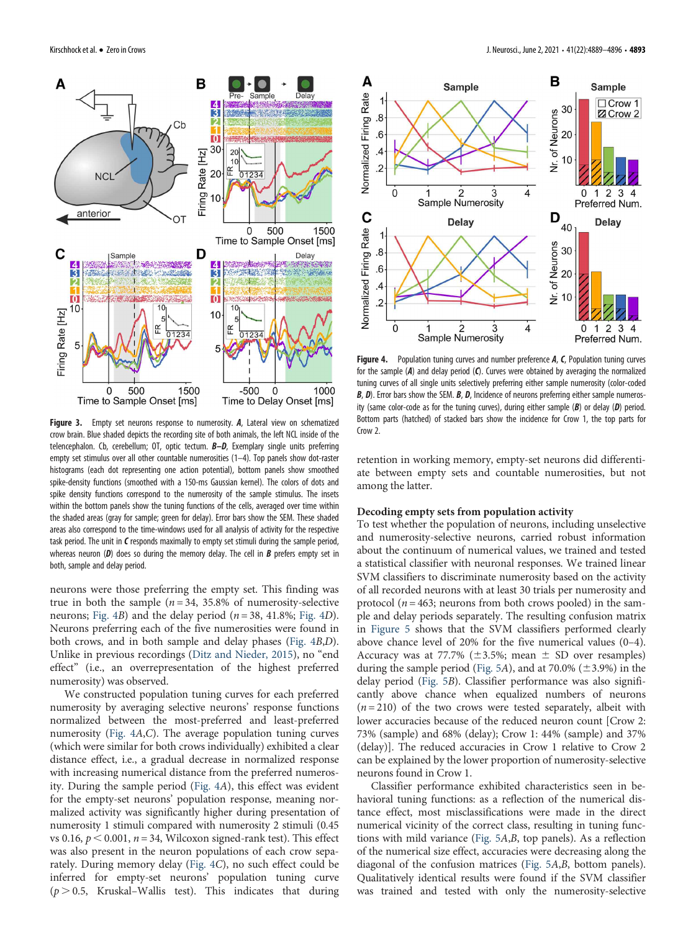

Figure 3. Empty set neurons response to numerosity. A, Lateral view on schematized crow brain. Blue shaded depicts the recording site of both animals, the left NCL inside of the telencephalon. Cb, cerebellum; OT, optic tectum. **B-D**, Exemplary single units preferring empty set stimulus over all other countable numerosities (1–4). Top panels show dot-raster histograms (each dot representing one action potential), bottom panels show smoothed spike-density functions (smoothed with a 150-ms Gaussian kernel). The colors of dots and spike density functions correspond to the numerosity of the sample stimulus. The insets within the bottom panels show the tuning functions of the cells, averaged over time within the shaded areas (gray for sample; green for delay). Error bars show the SEM. These shaded areas also correspond to the time-windows used for all analysis of activity for the respective task period. The unit in  $C$  responds maximally to empty set stimuli during the sample period, whereas neuron  $(D)$  does so during the memory delay. The cell in  $B$  prefers empty set in both, sample and delay period.

neurons were those preferring the empty set. This finding was true in both the sample ( $n = 34$ , 35.8% of numerosity-selective neurons; Fig. 4B) and the delay period ( $n = 38$ , 41.8%; Fig. 4D). Neurons preferring each of the five numerosities were found in both crows, and in both sample and delay phases (Fig. 4B,D). Unlike in previous recordings (Ditz and Nieder, 2015), no "end effect" (i.e., an overrepresentation of the highest preferred numerosity) was observed.

We constructed population tuning curves for each preferred numerosity by averaging selective neurons' response functions normalized between the most-preferred and least-preferred numerosity (Fig. 4A,C). The average population tuning curves (which were similar for both crows individually) exhibited a clear distance effect, i.e., a gradual decrease in normalized response with increasing numerical distance from the preferred numerosity. During the sample period (Fig. 4A), this effect was evident for the empty-set neurons' population response, meaning normalized activity was significantly higher during presentation of numerosity 1 stimuli compared with numerosity 2 stimuli (0.45 vs 0.16,  $p < 0.001$ ,  $n = 34$ , Wilcoxon signed-rank test). This effect was also present in the neuron populations of each crow separately. During memory delay (Fig. 4C), no such effect could be inferred for empty-set neurons' population tuning curve  $(p > 0.5,$  Kruskal–Wallis test). This indicates that during



Figure 4. Population tuning curves and number preference A, C, Population tuning curves for the sample (A) and delay period (C). Curves were obtained by averaging the normalized tuning curves of all single units selectively preferring either sample numerosity (color-coded  $B$ ,  $D$ ). Error bars show the SEM.  $B$ ,  $D$ , Incidence of neurons preferring either sample numerosity (same color-code as for the tuning curves), during either sample  $(B)$  or delay  $(D)$  period. Bottom parts (hatched) of stacked bars show the incidence for Crow 1, the top parts for Crow 2.

retention in working memory, empty-set neurons did differentiate between empty sets and countable numerosities, but not among the latter.

### Decoding empty sets from population activity

To test whether the population of neurons, including unselective and numerosity-selective neurons, carried robust information about the continuum of numerical values, we trained and tested a statistical classifier with neuronal responses. We trained linear SVM classifiers to discriminate numerosity based on the activity of all recorded neurons with at least 30 trials per numerosity and protocol ( $n = 463$ ; neurons from both crows pooled) in the sample and delay periods separately. The resulting confusion matrix in Figure 5 shows that the SVM classifiers performed clearly above chance level of 20% for the five numerical values (0–4). Accuracy was at 77.7% ( $\pm$ 3.5%; mean  $\pm$  SD over resamples) during the sample period (Fig. 5A), and at 70.0% ( $\pm$ 3.9%) in the delay period (Fig. 5B). Classifier performance was also significantly above chance when equalized numbers of neurons  $(n=210)$  of the two crows were tested separately, albeit with lower accuracies because of the reduced neuron count [Crow 2: 73% (sample) and 68% (delay); Crow 1: 44% (sample) and 37% (delay)]. The reduced accuracies in Crow 1 relative to Crow 2 can be explained by the lower proportion of numerosity-selective neurons found in Crow 1.

Classifier performance exhibited characteristics seen in behavioral tuning functions: as a reflection of the numerical distance effect, most misclassifications were made in the direct numerical vicinity of the correct class, resulting in tuning functions with mild variance (Fig. 5A,B, top panels). As a reflection of the numerical size effect, accuracies were decreasing along the diagonal of the confusion matrices (Fig. 5A,B, bottom panels). Qualitatively identical results were found if the SVM classifier was trained and tested with only the numerosity-selective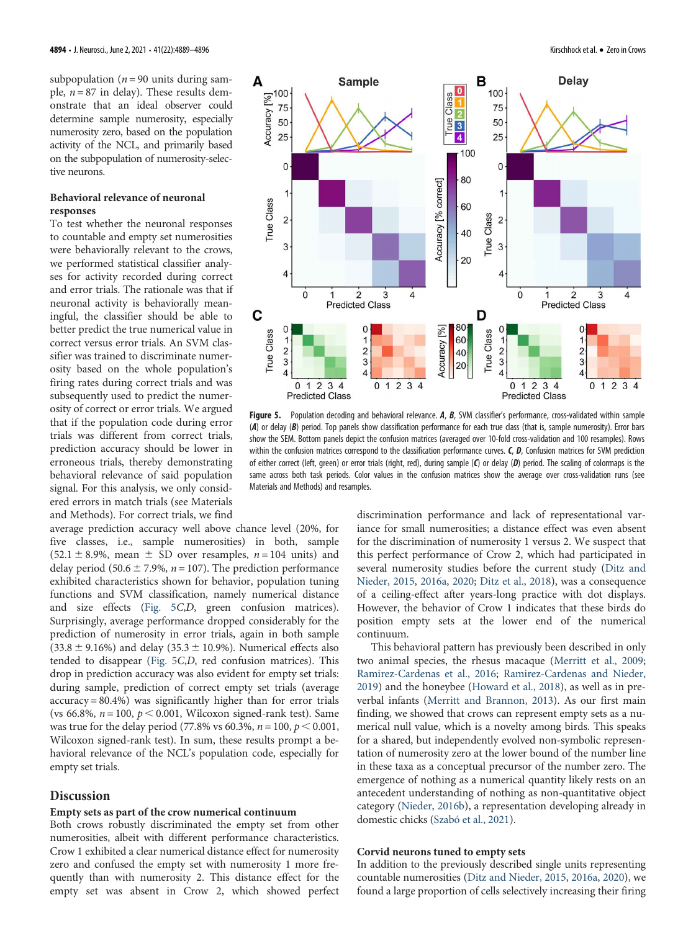subpopulation ( $n = 90$  units during sample,  $n = 87$  in delay). These results demonstrate that an ideal observer could determine sample numerosity, especially numerosity zero, based on the population activity of the NCL, and primarily based on the subpopulation of numerosity-selective neurons.

# Behavioral relevance of neuronal responses

To test whether the neuronal responses to countable and empty set numerosities were behaviorally relevant to the crows, we performed statistical classifier analyses for activity recorded during correct and error trials. The rationale was that if neuronal activity is behaviorally meaningful, the classifier should be able to better predict the true numerical value in correct versus error trials. An SVM classifier was trained to discriminate numerosity based on the whole population's firing rates during correct trials and was subsequently used to predict the numerosity of correct or error trials. We argued that if the population code during error trials was different from correct trials, prediction accuracy should be lower in erroneous trials, thereby demonstrating behavioral relevance of said population signal. For this analysis, we only considered errors in match trials (see Materials and Methods). For correct trials, we find

average prediction accuracy well above chance level (20%, for five classes, i.e., sample numerosities) in both, sample  $(52.1 \pm 8.9\%)$ , mean  $\pm$  SD over resamples,  $n = 104$  units) and delay period (50.6  $\pm$  7.9%, n = 107). The prediction performance exhibited characteristics shown for behavior, population tuning functions and SVM classification, namely numerical distance and size effects (Fig. 5C,D, green confusion matrices). Surprisingly, average performance dropped considerably for the prediction of numerosity in error trials, again in both sample  $(33.8 \pm 9.16\%)$  and delay  $(35.3 \pm 10.9\%)$ . Numerical effects also tended to disappear (Fig. 5C,D, red confusion matrices). This drop in prediction accuracy was also evident for empty set trials: during sample, prediction of correct empty set trials (average accuracy = 80.4%) was significantly higher than for error trials (vs 66.8%,  $n = 100$ ,  $p < 0.001$ , Wilcoxon signed-rank test). Same was true for the delay period (77.8% vs 60.3%,  $n = 100$ ,  $p < 0.001$ , Wilcoxon signed-rank test). In sum, these results prompt a behavioral relevance of the NCL's population code, especially for empty set trials.

# Discussion

#### Empty sets as part of the crow numerical continuum

Both crows robustly discriminated the empty set from other numerosities, albeit with different performance characteristics. Crow 1 exhibited a clear numerical distance effect for numerosity zero and confused the empty set with numerosity 1 more frequently than with numerosity 2. This distance effect for the empty set was absent in Crow 2, which showed perfect



Figure 5. Population decoding and behavioral relevance. A, B, SVM classifier's performance, cross-validated within sample  $(A)$  or delay  $(B)$  period. Top panels show classification performance for each true class (that is, sample numerosity). Error bars show the SEM. Bottom panels depict the confusion matrices (averaged over 10-fold cross-validation and 100 resamples). Rows within the confusion matrices correspond to the classification performance curves.  $C$ ,  $D$ , Confusion matrices for SVM prediction of either correct (left, green) or error trials (right, red), during sample  $(O)$  or delay  $(D)$  period. The scaling of colormaps is the same across both task periods. Color values in the confusion matrices show the average over cross-validation runs (see Materials and Methods) and resamples.

discrimination performance and lack of representational variance for small numerosities; a distance effect was even absent for the discrimination of numerosity 1 versus 2. We suspect that this perfect performance of Crow 2, which had participated in several numerosity studies before the current study (Ditz and Nieder, 2015, 2016a, 2020; Ditz et al., 2018), was a consequence of a ceiling-effect after years-long practice with dot displays. However, the behavior of Crow 1 indicates that these birds do position empty sets at the lower end of the numerical continuum.

This behavioral pattern has previously been described in only two animal species, the rhesus macaque (Merritt et al., 2009; Ramirez-Cardenas et al., 2016; Ramirez-Cardenas and Nieder, 2019) and the honeybee (Howard et al., 2018), as well as in preverbal infants (Merritt and Brannon, 2013). As our first main finding, we showed that crows can represent empty sets as a numerical null value, which is a novelty among birds. This speaks for a shared, but independently evolved non-symbolic representation of numerosity zero at the lower bound of the number line in these taxa as a conceptual precursor of the number zero. The emergence of nothing as a numerical quantity likely rests on an antecedent understanding of nothing as non-quantitative object category (Nieder, 2016b), a representation developing already in domestic chicks (Szabó et al., 2021).

## Corvid neurons tuned to empty sets

In addition to the previously described single units representing countable numerosities (Ditz and Nieder, 2015, 2016a, 2020), we found a large proportion of cells selectively increasing their firing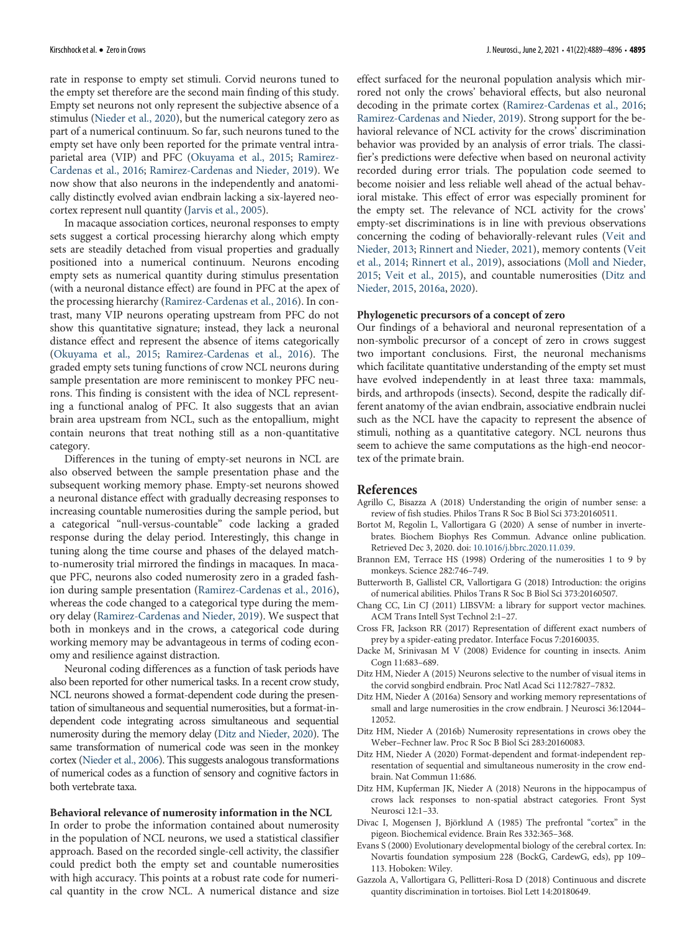rate in response to empty set stimuli. Corvid neurons tuned to the empty set therefore are the second main finding of this study. Empty set neurons not only represent the subjective absence of a stimulus (Nieder et al., 2020), but the numerical category zero as part of a numerical continuum. So far, such neurons tuned to the empty set have only been reported for the primate ventral intraparietal area (VIP) and PFC (Okuyama et al., 2015; Ramirez-Cardenas et al., 2016; Ramirez-Cardenas and Nieder, 2019). We now show that also neurons in the independently and anatomically distinctly evolved avian endbrain lacking a six-layered neocortex represent null quantity (Jarvis et al., 2005).

In macaque association cortices, neuronal responses to empty sets suggest a cortical processing hierarchy along which empty sets are steadily detached from visual properties and gradually positioned into a numerical continuum. Neurons encoding empty sets as numerical quantity during stimulus presentation (with a neuronal distance effect) are found in PFC at the apex of the processing hierarchy (Ramirez-Cardenas et al., 2016). In contrast, many VIP neurons operating upstream from PFC do not show this quantitative signature; instead, they lack a neuronal distance effect and represent the absence of items categorically (Okuyama et al., 2015; Ramirez-Cardenas et al., 2016). The graded empty sets tuning functions of crow NCL neurons during sample presentation are more reminiscent to monkey PFC neurons. This finding is consistent with the idea of NCL representing a functional analog of PFC. It also suggests that an avian brain area upstream from NCL, such as the entopallium, might contain neurons that treat nothing still as a non-quantitative category.

Differences in the tuning of empty-set neurons in NCL are also observed between the sample presentation phase and the subsequent working memory phase. Empty-set neurons showed a neuronal distance effect with gradually decreasing responses to increasing countable numerosities during the sample period, but a categorical "null-versus-countable" code lacking a graded response during the delay period. Interestingly, this change in tuning along the time course and phases of the delayed matchto-numerosity trial mirrored the findings in macaques. In macaque PFC, neurons also coded numerosity zero in a graded fashion during sample presentation (Ramirez-Cardenas et al., 2016), whereas the code changed to a categorical type during the memory delay (Ramirez-Cardenas and Nieder, 2019). We suspect that both in monkeys and in the crows, a categorical code during working memory may be advantageous in terms of coding economy and resilience against distraction.

Neuronal coding differences as a function of task periods have also been reported for other numerical tasks. In a recent crow study, NCL neurons showed a format-dependent code during the presentation of simultaneous and sequential numerosities, but a format-independent code integrating across simultaneous and sequential numerosity during the memory delay (Ditz and Nieder, 2020). The same transformation of numerical code was seen in the monkey cortex (Nieder et al., 2006). This suggests analogous transformations of numerical codes as a function of sensory and cognitive factors in both vertebrate taxa.

#### Behavioral relevance of numerosity information in the NCL

In order to probe the information contained about numerosity in the population of NCL neurons, we used a statistical classifier approach. Based on the recorded single-cell activity, the classifier could predict both the empty set and countable numerosities with high accuracy. This points at a robust rate code for numerical quantity in the crow NCL. A numerical distance and size effect surfaced for the neuronal population analysis which mirrored not only the crows' behavioral effects, but also neuronal decoding in the primate cortex (Ramirez-Cardenas et al., 2016; Ramirez-Cardenas and Nieder, 2019). Strong support for the behavioral relevance of NCL activity for the crows' discrimination behavior was provided by an analysis of error trials. The classifier's predictions were defective when based on neuronal activity recorded during error trials. The population code seemed to become noisier and less reliable well ahead of the actual behavioral mistake. This effect of error was especially prominent for the empty set. The relevance of NCL activity for the crows' empty-set discriminations is in line with previous observations concerning the coding of behaviorally-relevant rules (Veit and Nieder, 2013; Rinnert and Nieder, 2021), memory contents (Veit et al., 2014; Rinnert et al., 2019), associations (Moll and Nieder, 2015; Veit et al., 2015), and countable numerosities (Ditz and Nieder, 2015, 2016a, 2020).

#### Phylogenetic precursors of a concept of zero

Our findings of a behavioral and neuronal representation of a non-symbolic precursor of a concept of zero in crows suggest two important conclusions. First, the neuronal mechanisms which facilitate quantitative understanding of the empty set must have evolved independently in at least three taxa: mammals, birds, and arthropods (insects). Second, despite the radically different anatomy of the avian endbrain, associative endbrain nuclei such as the NCL have the capacity to represent the absence of stimuli, nothing as a quantitative category. NCL neurons thus seem to achieve the same computations as the high-end neocortex of the primate brain.

### References

- Agrillo C, Bisazza A (2018) Understanding the origin of number sense: a review of fish studies. Philos Trans R Soc B Biol Sci 373:20160511.
- Bortot M, Regolin L, Vallortigara G (2020) A sense of number in invertebrates. Biochem Biophys Res Commun. Advance online publication. Retrieved Dec 3, 2020. doi: 10.1016/j.bbrc.2020.11.039.
- Brannon EM, Terrace HS (1998) Ordering of the numerosities 1 to 9 by monkeys. Science 282:746–749.
- Butterworth B, Gallistel CR, Vallortigara G (2018) Introduction: the origins of numerical abilities. Philos Trans R Soc B Biol Sci 373:20160507.
- Chang CC, Lin CJ (2011) LIBSVM: a library for support vector machines. ACM Trans Intell Syst Technol 2:1–27.
- Cross FR, Jackson RR (2017) Representation of different exact numbers of prey by a spider-eating predator. Interface Focus 7:20160035.
- Dacke M, Srinivasan M V (2008) Evidence for counting in insects. Anim Cogn 11:683–689.
- Ditz HM, Nieder A (2015) Neurons selective to the number of visual items in the corvid songbird endbrain. Proc Natl Acad Sci 112:7827–7832.
- Ditz HM, Nieder A (2016a) Sensory and working memory representations of small and large numerosities in the crow endbrain. J Neurosci 36:12044– 12052.
- Ditz HM, Nieder A (2016b) Numerosity representations in crows obey the Weber–Fechner law. Proc R Soc B Biol Sci 283:20160083.
- Ditz HM, Nieder A (2020) Format-dependent and format-independent representation of sequential and simultaneous numerosity in the crow endbrain. Nat Commun 11:686.
- Ditz HM, Kupferman JK, Nieder A (2018) Neurons in the hippocampus of crows lack responses to non-spatial abstract categories. Front Syst Neurosci 12:1–33.
- Divac I, Mogensen J, Björklund A (1985) The prefrontal "cortex" in the pigeon. Biochemical evidence. Brain Res 332:365–368.
- Evans S (2000) Evolutionary developmental biology of the cerebral cortex. In: Novartis foundation symposium 228 (BockG, CardewG, eds), pp 109– 113. Hoboken: Wiley.
- Gazzola A, Vallortigara G, Pellitteri-Rosa D (2018) Continuous and discrete quantity discrimination in tortoises. Biol Lett 14:20180649.